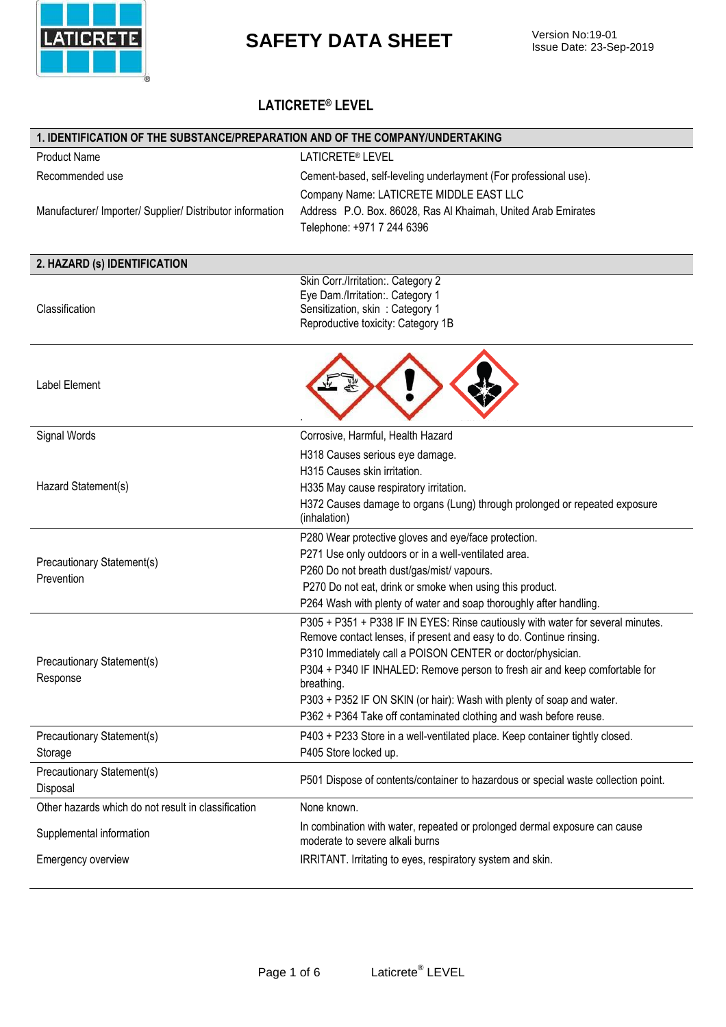

#### **LATICRETE® LEVEL**

| 1. IDENTIFICATION OF THE SUBSTANCE/PREPARATION AND OF THE COMPANY/UNDERTAKING |                                                                                                                                                        |  |
|-------------------------------------------------------------------------------|--------------------------------------------------------------------------------------------------------------------------------------------------------|--|
| <b>Product Name</b>                                                           | LATICRETE® LEVEL                                                                                                                                       |  |
| Recommended use                                                               | Cement-based, self-leveling underlayment (For professional use).                                                                                       |  |
|                                                                               | Company Name: LATICRETE MIDDLE EAST LLC                                                                                                                |  |
| Manufacturer/ Importer/ Supplier/ Distributor information                     | Address P.O. Box. 86028, Ras Al Khaimah, United Arab Emirates                                                                                          |  |
|                                                                               | Telephone: +971 7 244 6396                                                                                                                             |  |
|                                                                               |                                                                                                                                                        |  |
| 2. HAZARD (s) IDENTIFICATION                                                  |                                                                                                                                                        |  |
|                                                                               | Skin Corr./Irritation:. Category 2                                                                                                                     |  |
| Classification                                                                | Eye Dam./Irritation:. Category 1<br>Sensitization, skin: Category 1                                                                                    |  |
|                                                                               | Reproductive toxicity: Category 1B                                                                                                                     |  |
|                                                                               |                                                                                                                                                        |  |
|                                                                               |                                                                                                                                                        |  |
| Label Element                                                                 |                                                                                                                                                        |  |
|                                                                               |                                                                                                                                                        |  |
|                                                                               |                                                                                                                                                        |  |
| Signal Words                                                                  | Corrosive, Harmful, Health Hazard                                                                                                                      |  |
|                                                                               | H318 Causes serious eye damage.                                                                                                                        |  |
|                                                                               | H315 Causes skin irritation.                                                                                                                           |  |
| Hazard Statement(s)                                                           | H335 May cause respiratory irritation.                                                                                                                 |  |
|                                                                               | H372 Causes damage to organs (Lung) through prolonged or repeated exposure                                                                             |  |
|                                                                               | (inhalation)                                                                                                                                           |  |
|                                                                               | P280 Wear protective gloves and eye/face protection.                                                                                                   |  |
| Precautionary Statement(s)                                                    | P271 Use only outdoors or in a well-ventilated area.                                                                                                   |  |
| Prevention                                                                    | P260 Do not breath dust/gas/mist/ vapours.                                                                                                             |  |
|                                                                               | P270 Do not eat, drink or smoke when using this product.                                                                                               |  |
|                                                                               | P264 Wash with plenty of water and soap thoroughly after handling.                                                                                     |  |
|                                                                               | P305 + P351 + P338 IF IN EYES: Rinse cautiously with water for several minutes.<br>Remove contact lenses, if present and easy to do. Continue rinsing. |  |
|                                                                               | P310 Immediately call a POISON CENTER or doctor/physician.                                                                                             |  |
| Precautionary Statement(s)                                                    | P304 + P340 IF INHALED: Remove person to fresh air and keep comfortable for                                                                            |  |
| Response                                                                      | breathing.                                                                                                                                             |  |
|                                                                               | P303 + P352 IF ON SKIN (or hair): Wash with plenty of soap and water.                                                                                  |  |
|                                                                               | P362 + P364 Take off contaminated clothing and wash before reuse.                                                                                      |  |
| Precautionary Statement(s)                                                    | P403 + P233 Store in a well-ventilated place. Keep container tightly closed.                                                                           |  |
| Storage                                                                       | P405 Store locked up.                                                                                                                                  |  |
| Precautionary Statement(s)                                                    | P501 Dispose of contents/container to hazardous or special waste collection point.                                                                     |  |
| Disposal                                                                      |                                                                                                                                                        |  |
| Other hazards which do not result in classification                           | None known.                                                                                                                                            |  |
| Supplemental information                                                      | In combination with water, repeated or prolonged dermal exposure can cause                                                                             |  |
|                                                                               | moderate to severe alkali burns                                                                                                                        |  |
| Emergency overview                                                            | IRRITANT. Irritating to eyes, respiratory system and skin.                                                                                             |  |
|                                                                               |                                                                                                                                                        |  |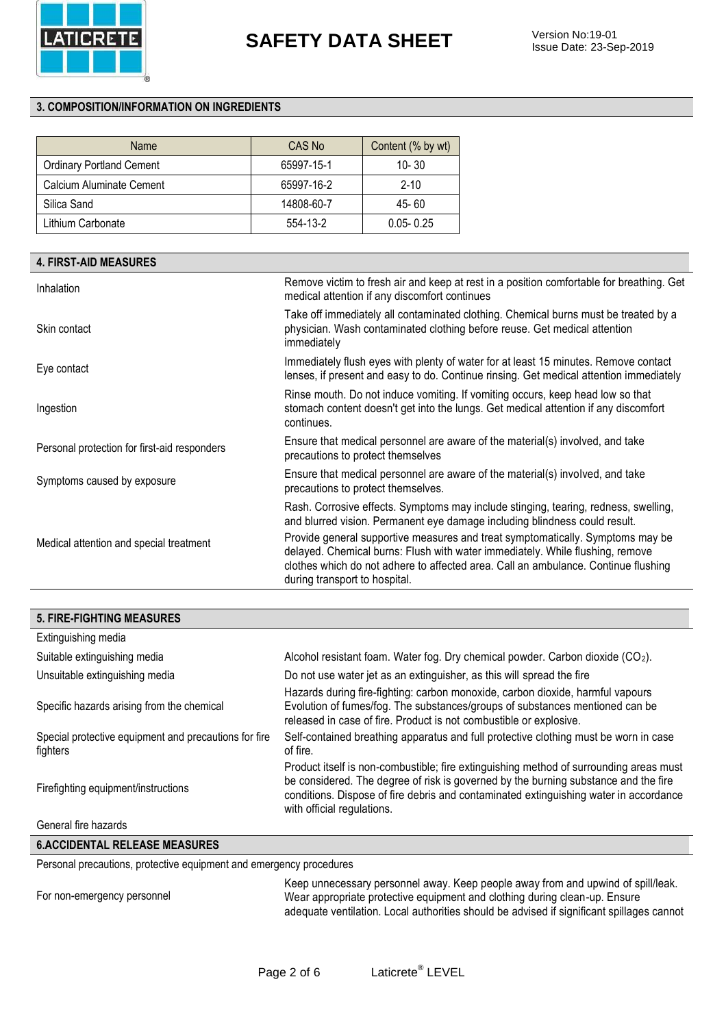

#### **3. COMPOSITION/INFORMATION ON INGREDIENTS**

| Name                            | CAS No     | Content (% by wt) |
|---------------------------------|------------|-------------------|
| <b>Ordinary Portland Cement</b> | 65997-15-1 | $10 - 30$         |
| Calcium Aluminate Cement        | 65997-16-2 | $2 - 10$          |
| Silica Sand                     | 14808-60-7 | 45-60             |
| Lithium Carbonate               | 554-13-2   | $0.05 - 0.25$     |

| <b>4. FIRST-AID MEASURES</b>                 |                                                                                                                                                                                                                                                                                        |
|----------------------------------------------|----------------------------------------------------------------------------------------------------------------------------------------------------------------------------------------------------------------------------------------------------------------------------------------|
| Inhalation                                   | Remove victim to fresh air and keep at rest in a position comfortable for breathing. Get<br>medical attention if any discomfort continues                                                                                                                                              |
| Skin contact                                 | Take off immediately all contaminated clothing. Chemical burns must be treated by a<br>physician. Wash contaminated clothing before reuse. Get medical attention<br>immediately                                                                                                        |
| Eye contact                                  | Immediately flush eyes with plenty of water for at least 15 minutes. Remove contact<br>lenses, if present and easy to do. Continue rinsing. Get medical attention immediately                                                                                                          |
| Ingestion                                    | Rinse mouth. Do not induce vomiting. If vomiting occurs, keep head low so that<br>stomach content doesn't get into the lungs. Get medical attention if any discomfort<br>continues.                                                                                                    |
| Personal protection for first-aid responders | Ensure that medical personnel are aware of the material(s) involved, and take<br>precautions to protect themselves                                                                                                                                                                     |
| Symptoms caused by exposure                  | Ensure that medical personnel are aware of the material(s) involved, and take<br>precautions to protect themselves.                                                                                                                                                                    |
|                                              | Rash. Corrosive effects. Symptoms may include stinging, tearing, redness, swelling,<br>and blurred vision. Permanent eye damage including blindness could result.                                                                                                                      |
| Medical attention and special treatment      | Provide general supportive measures and treat symptomatically. Symptoms may be<br>delayed. Chemical burns: Flush with water immediately. While flushing, remove<br>clothes which do not adhere to affected area. Call an ambulance. Continue flushing<br>during transport to hospital. |

#### **5. FIRE-FIGHTING MEASURES**

| Extinguishing media                                               |                                                                                                                                                                                                                                                                                                      |
|-------------------------------------------------------------------|------------------------------------------------------------------------------------------------------------------------------------------------------------------------------------------------------------------------------------------------------------------------------------------------------|
| Suitable extinguishing media                                      | Alcohol resistant foam. Water fog. Dry chemical powder. Carbon dioxide $(CO_2)$ .                                                                                                                                                                                                                    |
| Unsuitable extinguishing media                                    | Do not use water jet as an extinguisher, as this will spread the fire                                                                                                                                                                                                                                |
| Specific hazards arising from the chemical                        | Hazards during fire-fighting: carbon monoxide, carbon dioxide, harmful vapours<br>Evolution of fumes/fog. The substances/groups of substances mentioned can be<br>released in case of fire. Product is not combustible or explosive.                                                                 |
| Special protective equipment and precautions for fire<br>fighters | Self-contained breathing apparatus and full protective clothing must be worn in case<br>of fire.                                                                                                                                                                                                     |
| Firefighting equipment/instructions                               | Product itself is non-combustible; fire extinguishing method of surrounding areas must<br>be considered. The degree of risk is governed by the burning substance and the fire<br>conditions. Dispose of fire debris and contaminated extinguishing water in accordance<br>with official regulations. |
| General fire hazards                                              |                                                                                                                                                                                                                                                                                                      |

#### **6.ACCIDENTAL RELEASE MEASURES**

Personal precautions, protective equipment and emergency procedures

For non-emergency personnel

Keep unnecessary personnel away. Keep people away from and upwind of spill/leak. Wear appropriate protective equipment and clothing during clean-up. Ensure adequate ventilation. Local authorities should be advised if significant spillages cannot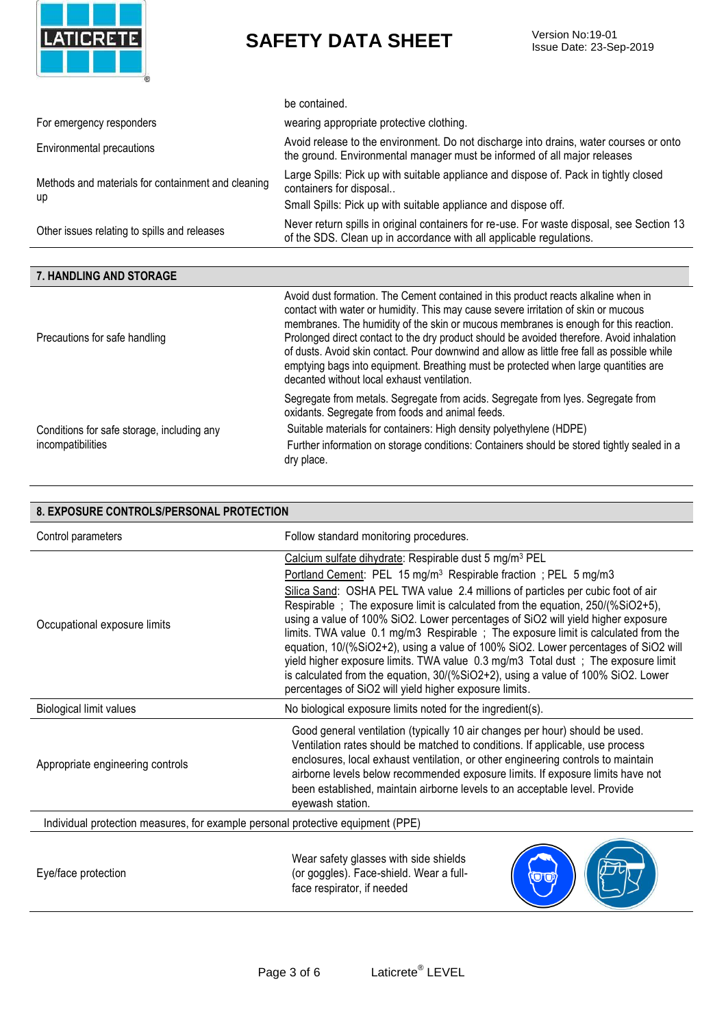

Issue Date: 23-Sep-2019

|                                                    | be contained.                                                                                                                                                                                                                                                                                                                  |
|----------------------------------------------------|--------------------------------------------------------------------------------------------------------------------------------------------------------------------------------------------------------------------------------------------------------------------------------------------------------------------------------|
| For emergency responders                           | wearing appropriate protective clothing.                                                                                                                                                                                                                                                                                       |
| Environmental precautions                          | Avoid release to the environment. Do not discharge into drains, water courses or onto<br>the ground. Environmental manager must be informed of all major releases                                                                                                                                                              |
| Methods and materials for containment and cleaning | Large Spills: Pick up with suitable appliance and dispose of. Pack in tightly closed<br>containers for disposal                                                                                                                                                                                                                |
| up                                                 | Small Spills: Pick up with suitable appliance and dispose off.                                                                                                                                                                                                                                                                 |
| Other issues relating to spills and releases       | Never return spills in original containers for re-use. For waste disposal, see Section 13<br>of the SDS. Clean up in accordance with all applicable regulations.                                                                                                                                                               |
|                                                    |                                                                                                                                                                                                                                                                                                                                |
| 7. HANDLING AND STORAGE                            |                                                                                                                                                                                                                                                                                                                                |
| Precautions for safe handling                      | Avoid dust formation. The Cement contained in this product reacts alkaline when in<br>contact with water or humidity. This may cause severe irritation of skin or mucous<br>membranes. The humidity of the skin or mucous membranes is enough for this reaction.                                                               |
|                                                    | Prolonged direct contact to the dry product should be avoided therefore. Avoid inhalation<br>of dusts. Avoid skin contact. Pour downwind and allow as little free fall as possible while<br>emptying bags into equipment. Breathing must be protected when large quantities are<br>decanted without local exhaust ventilation. |

dry place.

oxidants. Segregate from foods and animal feeds.

Suitable materials for containers: High density polyethylene (HDPE)

Further information on storage conditions: Containers should be stored tightly sealed in a

Conditions for safe storage, including any incompatibilities

| 8. EXPOSURE CONTROLS/PERSONAL PROTECTION                                        |                                                                                                                                                                                                                                                                                                                                                                                                                                                                                                                                                                                                                                                                                                                                                                                                                        |  |
|---------------------------------------------------------------------------------|------------------------------------------------------------------------------------------------------------------------------------------------------------------------------------------------------------------------------------------------------------------------------------------------------------------------------------------------------------------------------------------------------------------------------------------------------------------------------------------------------------------------------------------------------------------------------------------------------------------------------------------------------------------------------------------------------------------------------------------------------------------------------------------------------------------------|--|
| Control parameters                                                              | Follow standard monitoring procedures.                                                                                                                                                                                                                                                                                                                                                                                                                                                                                                                                                                                                                                                                                                                                                                                 |  |
| Occupational exposure limits                                                    | Calcium sulfate dihydrate: Respirable dust 5 mg/m <sup>3</sup> PEL<br>Portland Cement: PEL 15 mg/m <sup>3</sup> Respirable fraction; PEL 5 mg/m3<br>Silica Sand: OSHA PEL TWA value 2.4 millions of particles per cubic foot of air<br>Respirable; The exposure limit is calculated from the equation, 250/(%SiO2+5),<br>using a value of 100% SiO2. Lower percentages of SiO2 will yield higher exposure<br>limits. TWA value 0.1 mg/m3 Respirable; The exposure limit is calculated from the<br>equation, 10/(%SiO2+2), using a value of 100% SiO2. Lower percentages of SiO2 will<br>yield higher exposure limits. TWA value 0.3 mg/m3 Total dust; The exposure limit<br>is calculated from the equation, 30/(%SiO2+2), using a value of 100% SiO2. Lower<br>percentages of SiO2 will yield higher exposure limits. |  |
| <b>Biological limit values</b>                                                  | No biological exposure limits noted for the ingredient(s).                                                                                                                                                                                                                                                                                                                                                                                                                                                                                                                                                                                                                                                                                                                                                             |  |
| Appropriate engineering controls                                                | Good general ventilation (typically 10 air changes per hour) should be used.<br>Ventilation rates should be matched to conditions. If applicable, use process<br>enclosures, local exhaust ventilation, or other engineering controls to maintain<br>airborne levels below recommended exposure limits. If exposure limits have not<br>been established, maintain airborne levels to an acceptable level. Provide<br>eyewash station.                                                                                                                                                                                                                                                                                                                                                                                  |  |
| Individual protection measures, for example personal protective equipment (PPE) |                                                                                                                                                                                                                                                                                                                                                                                                                                                                                                                                                                                                                                                                                                                                                                                                                        |  |
| Eye/face protection                                                             | Wear safety glasses with side shields<br>(or goggles). Face-shield. Wear a full-<br>face respirator, if needed                                                                                                                                                                                                                                                                                                                                                                                                                                                                                                                                                                                                                                                                                                         |  |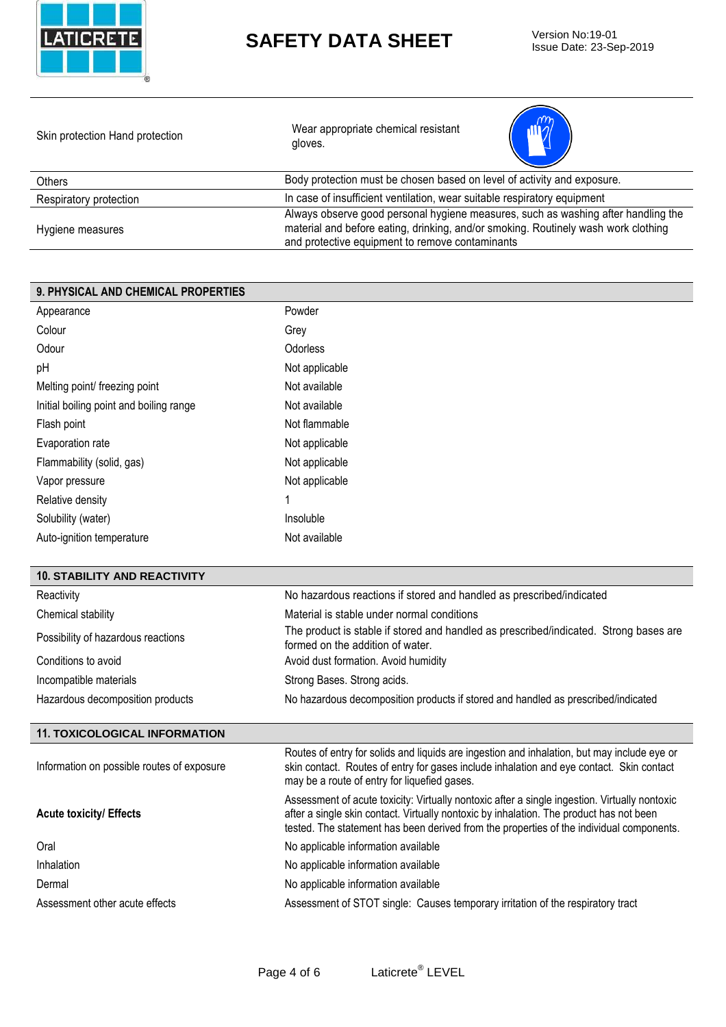

Issue Date: 23-Sep-2019

| Skin protection Hand protection | Wear appropriate chemical resistant<br>gloves.                                                                                                                                                                             |
|---------------------------------|----------------------------------------------------------------------------------------------------------------------------------------------------------------------------------------------------------------------------|
| <b>Others</b>                   | Body protection must be chosen based on level of activity and exposure.                                                                                                                                                    |
| Respiratory protection          | In case of insufficient ventilation, wear suitable respiratory equipment                                                                                                                                                   |
| Hygiene measures                | Always observe good personal hygiene measures, such as washing after handling the<br>material and before eating, drinking, and/or smoking. Routinely wash work clothing<br>and protective equipment to remove contaminants |

#### **9. PHYSICAL AND CHEMICAL PROPERTIES** Appearance Powder Colour **Grey** Odour **Odorless** pH Not applicable Melting point/ freezing point Not available Initial boiling point and boiling range Not available Flash point **Not flammable** Evaporation rate **Not applicable** Not applicable Flammability (solid, gas) Not applicable Vapor pressure Not applicable Relative density 1 Solubility (water) and the soluble insoluble Auto-ignition temperature Not available

| <b>10. STABILITY AND REACTIVITY</b>        |                                                                                                                                                                                                                                                                                      |
|--------------------------------------------|--------------------------------------------------------------------------------------------------------------------------------------------------------------------------------------------------------------------------------------------------------------------------------------|
| Reactivity                                 | No hazardous reactions if stored and handled as prescribed/indicated                                                                                                                                                                                                                 |
| Chemical stability                         | Material is stable under normal conditions                                                                                                                                                                                                                                           |
| Possibility of hazardous reactions         | The product is stable if stored and handled as prescribed/indicated. Strong bases are<br>formed on the addition of water.                                                                                                                                                            |
| Conditions to avoid                        | Avoid dust formation. Avoid humidity                                                                                                                                                                                                                                                 |
| Incompatible materials                     | Strong Bases. Strong acids.                                                                                                                                                                                                                                                          |
| Hazardous decomposition products           | No hazardous decomposition products if stored and handled as prescribed/indicated                                                                                                                                                                                                    |
|                                            |                                                                                                                                                                                                                                                                                      |
| <b>11. TOXICOLOGICAL INFORMATION</b>       |                                                                                                                                                                                                                                                                                      |
| Information on possible routes of exposure | Routes of entry for solids and liquids are ingestion and inhalation, but may include eye or<br>skin contact. Routes of entry for gases include inhalation and eye contact. Skin contact<br>may be a route of entry for liquefied gases.                                              |
| <b>Acute toxicity/ Effects</b>             | Assessment of acute toxicity: Virtually nontoxic after a single ingestion. Virtually nontoxic<br>after a single skin contact. Virtually nontoxic by inhalation. The product has not been<br>tested. The statement has been derived from the properties of the individual components. |
| Oral                                       | No applicable information available                                                                                                                                                                                                                                                  |
| Inhalation                                 | No applicable information available                                                                                                                                                                                                                                                  |
| Dermal                                     | No applicable information available                                                                                                                                                                                                                                                  |
| Assessment other acute effects             | Assessment of STOT single: Causes temporary irritation of the respiratory tract                                                                                                                                                                                                      |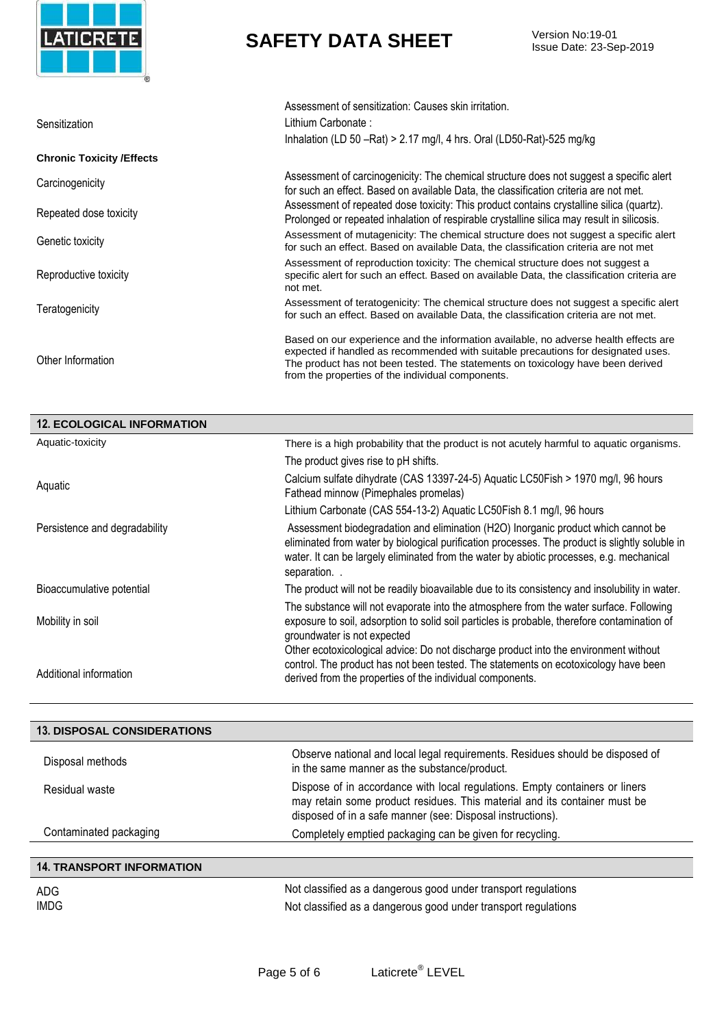

Issue Date: 23-Sep-2019

|                                   | Assessment of sensitization: Causes skin irritation.                                                                                                                                                                                                                                                              |
|-----------------------------------|-------------------------------------------------------------------------------------------------------------------------------------------------------------------------------------------------------------------------------------------------------------------------------------------------------------------|
| Sensitization                     | Lithium Carbonate:                                                                                                                                                                                                                                                                                                |
|                                   | Inhalation (LD 50 -Rat) > 2.17 mg/l, 4 hrs. Oral (LD50-Rat)-525 mg/kg                                                                                                                                                                                                                                             |
| <b>Chronic Toxicity / Effects</b> |                                                                                                                                                                                                                                                                                                                   |
| Carcinogenicity                   | Assessment of carcinogenicity: The chemical structure does not suggest a specific alert<br>for such an effect. Based on available Data, the classification criteria are not met.                                                                                                                                  |
| Repeated dose toxicity            | Assessment of repeated dose toxicity: This product contains crystalline silica (quartz).<br>Prolonged or repeated inhalation of respirable crystalline silica may result in silicosis.                                                                                                                            |
| Genetic toxicity                  | Assessment of mutagenicity: The chemical structure does not suggest a specific alert<br>for such an effect. Based on available Data, the classification criteria are not met                                                                                                                                      |
| Reproductive toxicity             | Assessment of reproduction toxicity: The chemical structure does not suggest a<br>specific alert for such an effect. Based on available Data, the classification criteria are<br>not met.                                                                                                                         |
| Teratogenicity                    | Assessment of teratogenicity: The chemical structure does not suggest a specific alert<br>for such an effect. Based on available Data, the classification criteria are not met.                                                                                                                                   |
| Other Information                 | Based on our experience and the information available, no adverse health effects are<br>expected if handled as recommended with suitable precautions for designated uses.<br>The product has not been tested. The statements on toxicology have been derived<br>from the properties of the individual components. |

| <b>12. ECOLOGICAL INFORMATION</b> |                                                                                                                                                                                                                                                                                                |
|-----------------------------------|------------------------------------------------------------------------------------------------------------------------------------------------------------------------------------------------------------------------------------------------------------------------------------------------|
| Aquatic-toxicity                  | There is a high probability that the product is not acutely harmful to aquatic organisms.                                                                                                                                                                                                      |
|                                   | The product gives rise to pH shifts.                                                                                                                                                                                                                                                           |
| Aquatic                           | Calcium sulfate dihydrate (CAS 13397-24-5) Aquatic LC50Fish > 1970 mg/l, 96 hours<br>Fathead minnow (Pimephales promelas)                                                                                                                                                                      |
|                                   | Lithium Carbonate (CAS 554-13-2) Aquatic LC50Fish 8.1 mg/l, 96 hours                                                                                                                                                                                                                           |
| Persistence and degradability     | Assessment biodegradation and elimination (H2O) Inorganic product which cannot be<br>eliminated from water by biological purification processes. The product is slightly soluble in<br>water. It can be largely eliminated from the water by abiotic processes, e.g. mechanical<br>separation. |
| Bioaccumulative potential         | The product will not be readily bioavailable due to its consistency and insolubility in water.                                                                                                                                                                                                 |
| Mobility in soil                  | The substance will not evaporate into the atmosphere from the water surface. Following<br>exposure to soil, adsorption to solid soil particles is probable, therefore contamination of<br>groundwater is not expected                                                                          |
| Additional information            | Other ecotoxicological advice: Do not discharge product into the environment without<br>control. The product has not been tested. The statements on ecotoxicology have been<br>derived from the properties of the individual components.                                                       |

| <b>13. DISPOSAL CONSIDERATIONS</b> |                                                                                                                                                                                                                        |
|------------------------------------|------------------------------------------------------------------------------------------------------------------------------------------------------------------------------------------------------------------------|
| Disposal methods                   | Observe national and local legal requirements. Residues should be disposed of<br>in the same manner as the substance/product.                                                                                          |
| Residual waste                     | Dispose of in accordance with local regulations. Empty containers or liners<br>may retain some product residues. This material and its container must be<br>disposed of in a safe manner (see: Disposal instructions). |
| Contaminated packaging             | Completely emptied packaging can be given for recycling.                                                                                                                                                               |
| <b>14. TRANSPORT INFORMATION</b>   |                                                                                                                                                                                                                        |

| ADG  | Not classified as a dangerous good under transport regulations |
|------|----------------------------------------------------------------|
| IMDG | Not classified as a dangerous good under transport regulations |